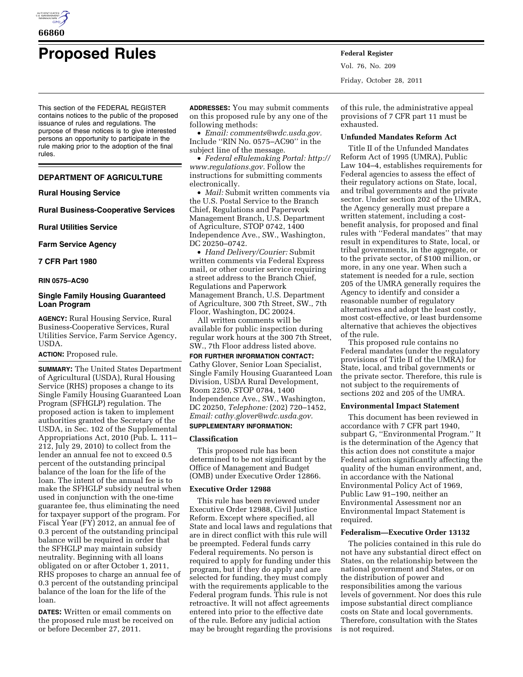

# **Proposed Rules Federal Register**

This section of the FEDERAL REGISTER contains notices to the public of the proposed issuance of rules and regulations. The purpose of these notices is to give interested persons an opportunity to participate in the rule making prior to the adoption of the final rules.

# **DEPARTMENT OF AGRICULTURE**

## **Rural Housing Service**

**Rural Business-Cooperative Services** 

**Rural Utilities Service** 

**Farm Service Agency** 

## **7 CFR Part 1980**

## **RIN 0575–AC90**

# **Single Family Housing Guaranteed Loan Program**

**AGENCY:** Rural Housing Service, Rural Business-Cooperative Services, Rural Utilities Service, Farm Service Agency, USDA.

## **ACTION:** Proposed rule.

**SUMMARY:** The United States Department of Agricultural (USDA), Rural Housing Service (RHS) proposes a change to its Single Family Housing Guaranteed Loan Program (SFHGLP) regulation. The proposed action is taken to implement authorities granted the Secretary of the USDA, in Sec. 102 of the Supplemental Appropriations Act, 2010 (Pub. L. 111– 212, July 29, 2010) to collect from the lender an annual fee not to exceed 0.5 percent of the outstanding principal balance of the loan for the life of the loan. The intent of the annual fee is to make the SFHGLP subsidy neutral when used in conjunction with the one-time guarantee fee, thus eliminating the need for taxpayer support of the program. For Fiscal Year (FY) 2012, an annual fee of 0.3 percent of the outstanding principal balance will be required in order that the SFHGLP may maintain subsidy neutrality. Beginning with all loans obligated on or after October 1, 2011, RHS proposes to charge an annual fee of 0.3 percent of the outstanding principal balance of the loan for the life of the loan.

**DATES:** Written or email comments on the proposed rule must be received on or before December 27, 2011.

**ADDRESSES:** You may submit comments on this proposed rule by any one of the following methods:

• *Email: [comments@wdc.usda.gov.](mailto:comments@wdc.usda.gov)*  Include ''RIN No. 0575–AC90'' in the subject line of the message.

• *Federal eRulemaking Portal: [http://](http://www.regulations.gov)  [www.regulations.gov.](http://www.regulations.gov)* Follow the instructions for submitting comments electronically.

• *Mail:* Submit written comments via the U.S. Postal Service to the Branch Chief, Regulations and Paperwork Management Branch, U.S. Department of Agriculture, STOP 0742, 1400 Independence Ave., SW., Washington, DC 20250–0742.

• *Hand Delivery/Courier:* Submit written comments via Federal Express mail, or other courier service requiring a street address to the Branch Chief, Regulations and Paperwork Management Branch, U.S. Department of Agriculture, 300 7th Street, SW., 7th Floor, Washington, DC 20024.

All written comments will be available for public inspection during regular work hours at the 300 7th Street, SW., 7th Floor address listed above.

**FOR FURTHER INFORMATION CONTACT:**  Cathy Glover, Senior Loan Specialist, Single Family Housing Guaranteed Loan Division, USDA Rural Development, Room 2250, STOP 0784, 1400 Independence Ave., SW., Washington, DC 20250, *Telephone:* (202) 720–1452, *Email: [cathy.glover@wdc.usda.gov.](mailto:cathy.glover@wdc.usda.gov)* 

## **SUPPLEMENTARY INFORMATION:**

## **Classification**

This proposed rule has been determined to be not significant by the Office of Management and Budget (OMB) under Executive Order 12866.

## **Executive Order 12988**

This rule has been reviewed under Executive Order 12988, Civil Justice Reform. Except where specified, all State and local laws and regulations that are in direct conflict with this rule will be preempted. Federal funds carry Federal requirements. No person is required to apply for funding under this program, but if they do apply and are selected for funding, they must comply with the requirements applicable to the Federal program funds. This rule is not retroactive. It will not affect agreements entered into prior to the effective date of the rule. Before any judicial action may be brought regarding the provisions Vol. 76, No. 209 Friday, October 28, 2011

of this rule, the administrative appeal provisions of 7 CFR part 11 must be exhausted.

## **Unfunded Mandates Reform Act**

Title II of the Unfunded Mandates Reform Act of 1995 (UMRA), Public Law 104–4, establishes requirements for Federal agencies to assess the effect of their regulatory actions on State, local, and tribal governments and the private sector. Under section 202 of the UMRA, the Agency generally must prepare a written statement, including a costbenefit analysis, for proposed and final rules with ''Federal mandates'' that may result in expenditures to State, local, or tribal governments, in the aggregate, or to the private sector, of \$100 million, or more, in any one year. When such a statement is needed for a rule, section 205 of the UMRA generally requires the Agency to identify and consider a reasonable number of regulatory alternatives and adopt the least costly, most cost-effective, or least burdensome alternative that achieves the objectives of the rule.

This proposed rule contains no Federal mandates (under the regulatory provisions of Title II of the UMRA) for State, local, and tribal governments or the private sector. Therefore, this rule is not subject to the requirements of sections 202 and 205 of the UMRA.

### **Environmental Impact Statement**

This document has been reviewed in accordance with 7 CFR part 1940, subpart G, ''Environmental Program.'' It is the determination of the Agency that this action does not constitute a major Federal action significantly affecting the quality of the human environment, and, in accordance with the National Environmental Policy Act of 1969, Public Law 91–190, neither an Environmental Assessment nor an Environmental Impact Statement is required.

## **Federalism—Executive Order 13132**

The policies contained in this rule do not have any substantial direct effect on States, on the relationship between the national government and States, or on the distribution of power and responsibilities among the various levels of government. Nor does this rule impose substantial direct compliance costs on State and local governments. Therefore, consultation with the States is not required.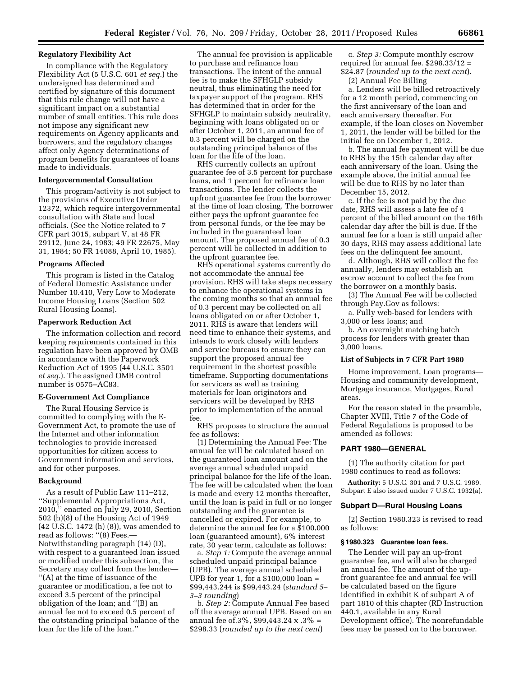# **Regulatory Flexibility Act**

In compliance with the Regulatory Flexibility Act (5 U.S.C. 601 *et seq.*) the undersigned has determined and certified by signature of this document that this rule change will not have a significant impact on a substantial number of small entities. This rule does not impose any significant new requirements on Agency applicants and borrowers, and the regulatory changes affect only Agency determinations of program benefits for guarantees of loans made to individuals.

## **Intergovernmental Consultation**

This program/activity is not subject to the provisions of Executive Order 12372, which require intergovernmental consultation with State and local officials. (See the Notice related to 7 CFR part 3015, subpart V, at 48 FR 29112, June 24, 1983; 49 FR 22675, May 31, 1984; 50 FR 14088, April 10, 1985).

## **Programs Affected**

This program is listed in the Catalog of Federal Domestic Assistance under Number 10.410, Very Low to Moderate Income Housing Loans (Section 502 Rural Housing Loans).

#### **Paperwork Reduction Act**

The information collection and record keeping requirements contained in this regulation have been approved by OMB in accordance with the Paperwork Reduction Act of 1995 (44 U.S.C. 3501 *et seq.*). The assigned OMB control number is 0575–AC83.

## **E-Government Act Compliance**

The Rural Housing Service is committed to complying with the E-Government Act, to promote the use of the Internet and other information technologies to provide increased opportunities for citizen access to Government information and services, and for other purposes.

## **Background**

As a result of Public Law 111–212, ''Supplemental Appropriations Act, 2010,'' enacted on July 29, 2010, Section 502 (h)(8) of the Housing Act of 1949 (42 U.S.C. 1472 (h) (8)), was amended to read as follows: ''(8) Fees.— Notwithstanding paragraph (14) (D), with respect to a guaranteed loan issued or modified under this subsection, the Secretary may collect from the lender— ''(A) at the time of issuance of the guarantee or modification, a fee not to exceed 3.5 percent of the principal obligation of the loan; and ''(B) an annual fee not to exceed 0.5 percent of the outstanding principal balance of the loan for the life of the loan.''

The annual fee provision is applicable to purchase and refinance loan transactions. The intent of the annual fee is to make the SFHGLP subsidy neutral, thus eliminating the need for taxpayer support of the program. RHS has determined that in order for the SFHGLP to maintain subsidy neutrality, beginning with loans obligated on or after October 1, 2011, an annual fee of 0.3 percent will be charged on the outstanding principal balance of the loan for the life of the loan.

RHS currently collects an upfront guarantee fee of 3.5 percent for purchase loans, and 1 percent for refinance loan transactions. The lender collects the upfront guarantee fee from the borrower at the time of loan closing. The borrower either pays the upfront guarantee fee from personal funds, or the fee may be included in the guaranteed loan amount. The proposed annual fee of 0.3 percent will be collected in addition to the upfront guarantee fee.

RHS operational systems currently do not accommodate the annual fee provision. RHS will take steps necessary to enhance the operational systems in the coming months so that an annual fee of 0.3 percent may be collected on all loans obligated on or after October 1, 2011. RHS is aware that lenders will need time to enhance their systems, and intends to work closely with lenders and service bureaus to ensure they can support the proposed annual fee requirement in the shortest possible timeframe. Supporting documentations for servicers as well as training materials for loan originators and servicers will be developed by RHS prior to implementation of the annual fee.

RHS proposes to structure the annual fee as follows:

(1) Determining the Annual Fee: The annual fee will be calculated based on the guaranteed loan amount and on the average annual scheduled unpaid principal balance for the life of the loan. The fee will be calculated when the loan is made and every 12 months thereafter, until the loan is paid in full or no longer outstanding and the guarantee is cancelled or expired. For example, to determine the annual fee for a \$100,000 loan (guaranteed amount), 6% interest rate, 30 year term, calculate as follows:

a. *Step 1:* Compute the average annual scheduled unpaid principal balance (UPB). The average annual scheduled UPB for year 1, for a \$100,000 loan = \$99,443.244 is \$99,443.24 (*standard 5– 3–3 rounding*)

b. *Step 2:* Compute Annual Fee based off the average annual UPB. Based on an annual fee of.3%, \$99,443.24 x .3% = \$298.33 (*rounded up to the next cent*)

c. *Step 3:* Compute monthly escrow required for annual fee.  $$298.33/12 =$ \$24.87 (*rounded up to the next cent*). (2) Annual Fee Billing

a. Lenders will be billed retroactively for a 12 month period, commencing on the first anniversary of the loan and each anniversary thereafter. For example, if the loan closes on November 1, 2011, the lender will be billed for the initial fee on December 1, 2012.

b. The annual fee payment will be due to RHS by the 15th calendar day after each anniversary of the loan. Using the example above, the initial annual fee will be due to RHS by no later than December 15, 2012.

c. If the fee is not paid by the due date, RHS will assess a late fee of 4 percent of the billed amount on the 16th calendar day after the bill is due. If the annual fee for a loan is still unpaid after 30 days, RHS may assess additional late fees on the delinquent fee amount.

d. Although, RHS will collect the fee annually, lenders may establish an escrow account to collect the fee from the borrower on a monthly basis.

(3) The Annual Fee will be collected through Pay.Gov as follows:

a. Fully web-based for lenders with 3,000 or less loans; and

b. An overnight matching batch process for lenders with greater than 3,000 loans.

## **List of Subjects in 7 CFR Part 1980**

Home improvement, Loan programs— Housing and community development, Mortgage insurance, Mortgages, Rural areas.

For the reason stated in the preamble, Chapter XVIII, Title 7 of the Code of Federal Regulations is proposed to be amended as follows:

## **PART 1980—GENERAL**

(1) The authority citation for part 1980 continues to read as follows:

**Authority:** 5 U.S.C. 301 and 7 U.S.C. 1989. Subpart E also issued under 7 U.S.C. 1932(a).

## **Subpart D—Rural Housing Loans**

(2) Section 1980.323 is revised to read as follows:

## **§ 1980.323 Guarantee loan fees.**

The Lender will pay an up-front guarantee fee, and will also be charged an annual fee. The amount of the upfront guarantee fee and annual fee will be calculated based on the figure identified in exhibit K of subpart A of part 1810 of this chapter (RD Instruction 440.1, available in any Rural Development office). The nonrefundable fees may be passed on to the borrower.